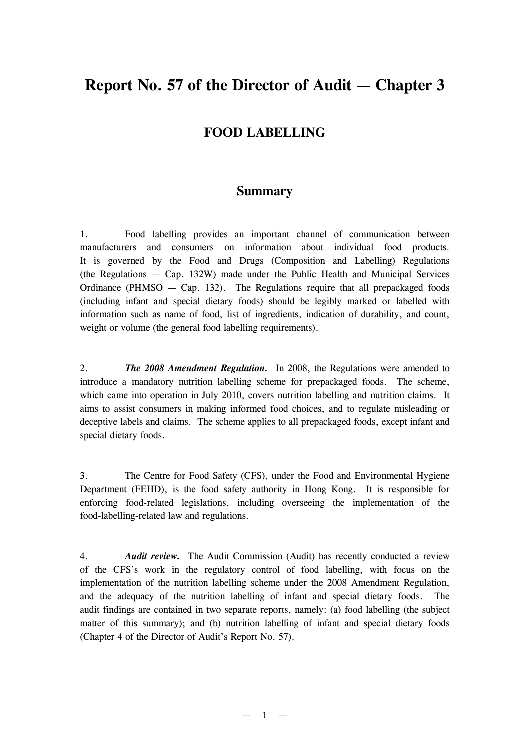# **Report No. 57 of the Director of Audit — Chapter 3**

# **FOOD LABELLING**

# **Summary**

1. Food labelling provides an important channel of communication between manufacturers and consumers on information about individual food products. It is governed by the Food and Drugs (Composition and Labelling) Regulations (the Regulations — Cap. 132W) made under the Public Health and Municipal Services Ordinance (PHMSO  $-$  Cap. 132). The Regulations require that all prepackaged foods (including infant and special dietary foods) should be legibly marked or labelled with information such as name of food, list of ingredients, indication of durability, and count, weight or volume (the general food labelling requirements).

2. *The 2008 Amendment Regulation.* In 2008, the Regulations were amended to introduce a mandatory nutrition labelling scheme for prepackaged foods. The scheme, which came into operation in July 2010, covers nutrition labelling and nutrition claims. It aims to assist consumers in making informed food choices, and to regulate misleading or deceptive labels and claims. The scheme applies to all prepackaged foods, except infant and special dietary foods.

3. The Centre for Food Safety (CFS), under the Food and Environmental Hygiene Department (FEHD), is the food safety authority in Hong Kong. It is responsible for enforcing food-related legislations, including overseeing the implementation of the food-labelling-related law and regulations.

4. *Audit review.* The Audit Commission (Audit) has recently conducted a review of the CFS's work in the regulatory control of food labelling, with focus on the implementation of the nutrition labelling scheme under the 2008 Amendment Regulation, and the adequacy of the nutrition labelling of infant and special dietary foods. The audit findings are contained in two separate reports, namely: (a) food labelling (the subject matter of this summary); and (b) nutrition labelling of infant and special dietary foods (Chapter 4 of the Director of Audit's Report No. 57).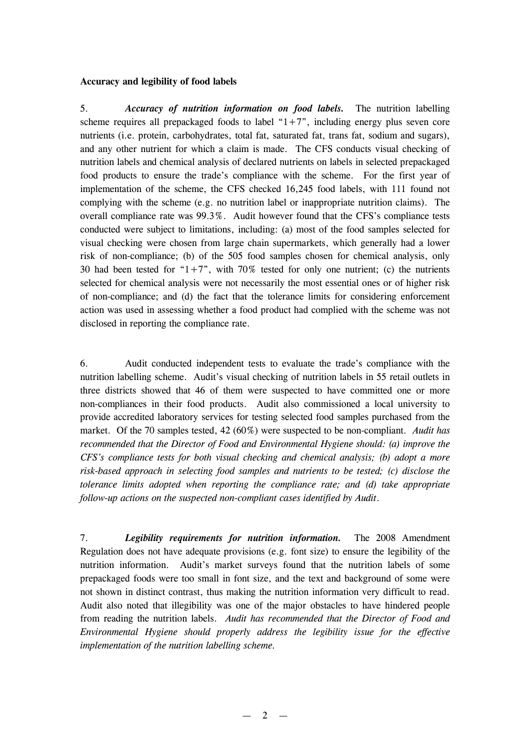#### **Accuracy and legibility of food labels**

5. *Accuracy of nutrition information on food labels.* The nutrition labelling scheme requires all prepackaged foods to label " $1+7$ ", including energy plus seven core nutrients (i.e. protein, carbohydrates, total fat, saturated fat, trans fat, sodium and sugars), and any other nutrient for which a claim is made. The CFS conducts visual checking of nutrition labels and chemical analysis of declared nutrients on labels in selected prepackaged food products to ensure the trade's compliance with the scheme. For the first year of implementation of the scheme, the CFS checked 16,245 food labels, with 111 found not complying with the scheme (e.g. no nutrition label or inappropriate nutrition claims). The overall compliance rate was 99.3%. Audit however found that the CFS's compliance tests conducted were subject to limitations, including: (a) most of the food samples selected for visual checking were chosen from large chain supermarkets, which generally had a lower risk of non-compliance; (b) of the 505 food samples chosen for chemical analysis, only 30 had been tested for " $1+7$ ", with 70% tested for only one nutrient; (c) the nutrients selected for chemical analysis were not necessarily the most essential ones or of higher risk of non-compliance; and (d) the fact that the tolerance limits for considering enforcement action was used in assessing whether a food product had complied with the scheme was not disclosed in reporting the compliance rate.

6. Audit conducted independent tests to evaluate the trade's compliance with the nutrition labelling scheme. Audit's visual checking of nutrition labels in 55 retail outlets in three districts showed that 46 of them were suspected to have committed one or more non-compliances in their food products. Audit also commissioned a local university to provide accredited laboratory services for testing selected food samples purchased from the market. Of the 70 samples tested, 42 (60%) were suspected to be non-compliant. *Audit has recommended that the Director of Food and Environmental Hygiene should: (a) improve the CFS's compliance tests for both visual checking and chemical analysis; (b) adopt a more risk-based approach in selecting food samples and nutrients to be tested; (c) disclose the tolerance limits adopted when reporting the compliance rate; and (d) take appropriate follow-up actions on the suspected non-compliant cases identified by Audit*.

7. *Legibility requirements for nutrition information.* The 2008 Amendment Regulation does not have adequate provisions (e.g. font size) to ensure the legibility of the nutrition information. Audit's market surveys found that the nutrition labels of some prepackaged foods were too small in font size, and the text and background of some were not shown in distinct contrast, thus making the nutrition information very difficult to read. Audit also noted that illegibility was one of the major obstacles to have hindered people from reading the nutrition labels. *Audit has recommended that the Director of Food and Environmental Hygiene should properly address the legibility issue for the effective implementation of the nutrition labelling scheme.*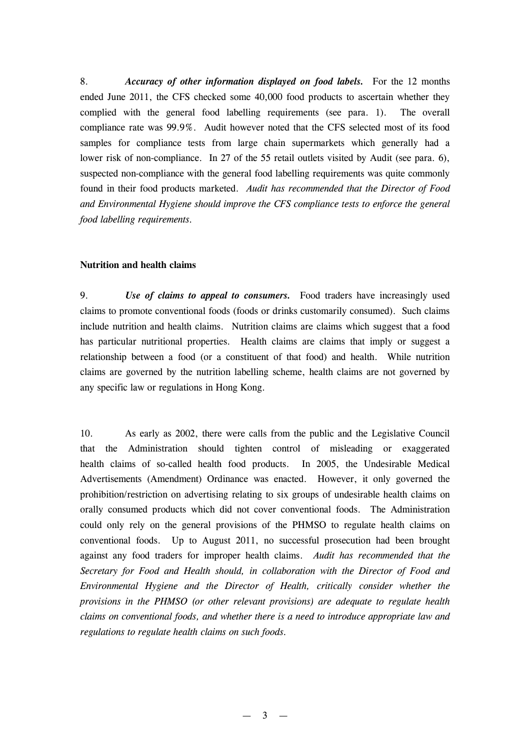8. *Accuracy of other information displayed on food labels.* For the 12 months ended June 2011, the CFS checked some 40,000 food products to ascertain whether they complied with the general food labelling requirements (see para. 1). The overall compliance rate was 99.9%. Audit however noted that the CFS selected most of its food samples for compliance tests from large chain supermarkets which generally had a lower risk of non-compliance. In 27 of the 55 retail outlets visited by Audit (see para. 6), suspected non-compliance with the general food labelling requirements was quite commonly found in their food products marketed. *Audit has recommended that the Director of Food and Environmental Hygiene should improve the CFS compliance tests to enforce the general food labelling requirements.*

#### **Nutrition and health claims**

9. *Use of claims to appeal to consumers.* Food traders have increasingly used claims to promote conventional foods (foods or drinks customarily consumed). Such claims include nutrition and health claims. Nutrition claims are claims which suggest that a food has particular nutritional properties. Health claims are claims that imply or suggest a relationship between a food (or a constituent of that food) and health. While nutrition claims are governed by the nutrition labelling scheme, health claims are not governed by any specific law or regulations in Hong Kong.

10. As early as 2002, there were calls from the public and the Legislative Council that the Administration should tighten control of misleading or exaggerated health claims of so-called health food products. In 2005, the Undesirable Medical Advertisements (Amendment) Ordinance was enacted. However, it only governed the prohibition/restriction on advertising relating to six groups of undesirable health claims on orally consumed products which did not cover conventional foods. The Administration could only rely on the general provisions of the PHMSO to regulate health claims on conventional foods. Up to August 2011, no successful prosecution had been brought against any food traders for improper health claims. *Audit has recommended that the Secretary for Food and Health should, in collaboration with the Director of Food and Environmental Hygiene and the Director of Health, critically consider whether the provisions in the PHMSO (or other relevant provisions) are adequate to regulate health claims on conventional foods, and whether there is a need to introduce appropriate law and regulations to regulate health claims on such foods.*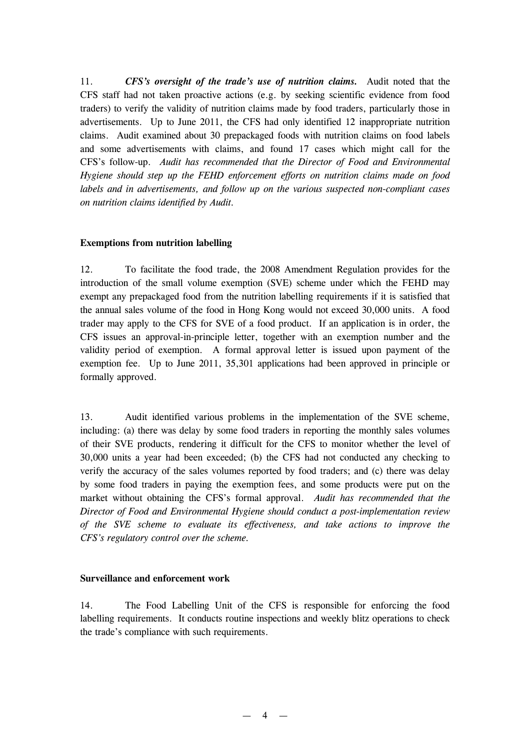11. *CFS's oversight of the trade's use of nutrition claims.* Audit noted that the CFS staff had not taken proactive actions (e.g. by seeking scientific evidence from food traders) to verify the validity of nutrition claims made by food traders, particularly those in advertisements. Up to June 2011, the CFS had only identified 12 inappropriate nutrition claims. Audit examined about 30 prepackaged foods with nutrition claims on food labels and some advertisements with claims, and found 17 cases which might call for the CFS's follow-up. *Audit has recommended that the Director of Food and Environmental Hygiene should step up the FEHD enforcement efforts on nutrition claims made on food labels and in advertisements, and follow up on the various suspected non-compliant cases on nutrition claims identified by Audit.*

## **Exemptions from nutrition labelling**

12. To facilitate the food trade, the 2008 Amendment Regulation provides for the introduction of the small volume exemption (SVE) scheme under which the FEHD may exempt any prepackaged food from the nutrition labelling requirements if it is satisfied that the annual sales volume of the food in Hong Kong would not exceed 30,000 units. A food trader may apply to the CFS for SVE of a food product. If an application is in order, the CFS issues an approval-in-principle letter, together with an exemption number and the validity period of exemption. A formal approval letter is issued upon payment of the exemption fee. Up to June 2011, 35,301 applications had been approved in principle or formally approved.

13. Audit identified various problems in the implementation of the SVE scheme, including: (a) there was delay by some food traders in reporting the monthly sales volumes of their SVE products, rendering it difficult for the CFS to monitor whether the level of 30,000 units a year had been exceeded; (b) the CFS had not conducted any checking to verify the accuracy of the sales volumes reported by food traders; and (c) there was delay by some food traders in paying the exemption fees, and some products were put on the market without obtaining the CFS's formal approval. *Audit has recommended that the Director of Food and Environmental Hygiene should conduct a post-implementation review of the SVE scheme to evaluate its effectiveness, and take actions to improve the CFS's regulatory control over the scheme.*

#### **Surveillance and enforcement work**

14. The Food Labelling Unit of the CFS is responsible for enforcing the food labelling requirements. It conducts routine inspections and weekly blitz operations to check the trade's compliance with such requirements.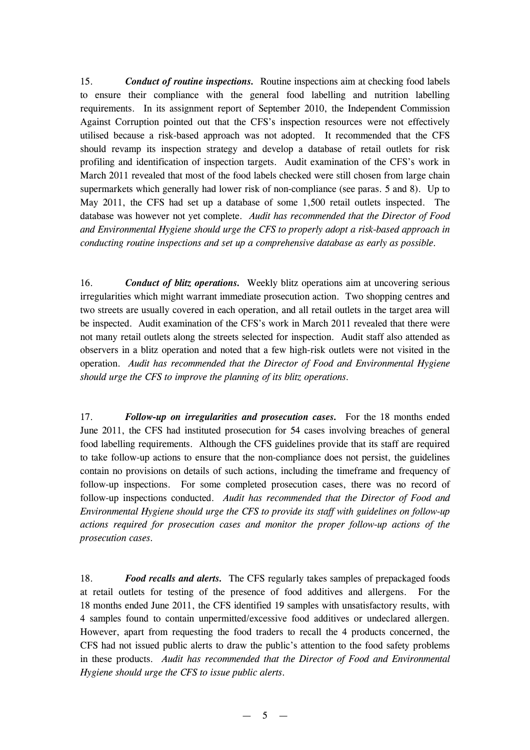15. *Conduct of routine inspections.* Routine inspections aim at checking food labels to ensure their compliance with the general food labelling and nutrition labelling requirements. In its assignment report of September 2010, the Independent Commission Against Corruption pointed out that the CFS's inspection resources were not effectively utilised because a risk-based approach was not adopted. It recommended that the CFS should revamp its inspection strategy and develop a database of retail outlets for risk profiling and identification of inspection targets. Audit examination of the CFS's work in March 2011 revealed that most of the food labels checked were still chosen from large chain supermarkets which generally had lower risk of non-compliance (see paras. 5 and 8). Up to May 2011, the CFS had set up a database of some 1,500 retail outlets inspected. The database was however not yet complete. *Audit has recommended that the Director of Food and Environmental Hygiene should urge the CFS to properly adopt a risk-based approach in conducting routine inspections and set up a comprehensive database as early as possible.*

16. *Conduct of blitz operations.* Weekly blitz operations aim at uncovering serious irregularities which might warrant immediate prosecution action. Two shopping centres and two streets are usually covered in each operation, and all retail outlets in the target area will be inspected. Audit examination of the CFS's work in March 2011 revealed that there were not many retail outlets along the streets selected for inspection. Audit staff also attended as observers in a blitz operation and noted that a few high-risk outlets were not visited in the operation. *Audit has recommended that the Director of Food and Environmental Hygiene should urge the CFS to improve the planning of its blitz operations.*

17. *Follow-up on irregularities and prosecution cases.* For the 18 months ended June 2011, the CFS had instituted prosecution for 54 cases involving breaches of general food labelling requirements. Although the CFS guidelines provide that its staff are required to take follow-up actions to ensure that the non-compliance does not persist, the guidelines contain no provisions on details of such actions, including the timeframe and frequency of follow-up inspections. For some completed prosecution cases, there was no record of follow-up inspections conducted. *Audit has recommended that the Director of Food and Environmental Hygiene should urge the CFS to provide its staff with guidelines on follow-up actions required for prosecution cases and monitor the proper follow-up actions of the prosecution cases.*

18. *Food recalls and alerts.* The CFS regularly takes samples of prepackaged foods at retail outlets for testing of the presence of food additives and allergens. For the 18 months ended June 2011, the CFS identified 19 samples with unsatisfactory results, with 4 samples found to contain unpermitted/excessive food additives or undeclared allergen. However, apart from requesting the food traders to recall the 4 products concerned, the CFS had not issued public alerts to draw the public's attention to the food safety problems in these products. *Audit has recommended that the Director of Food and Environmental Hygiene should urge the CFS to issue public alerts.*